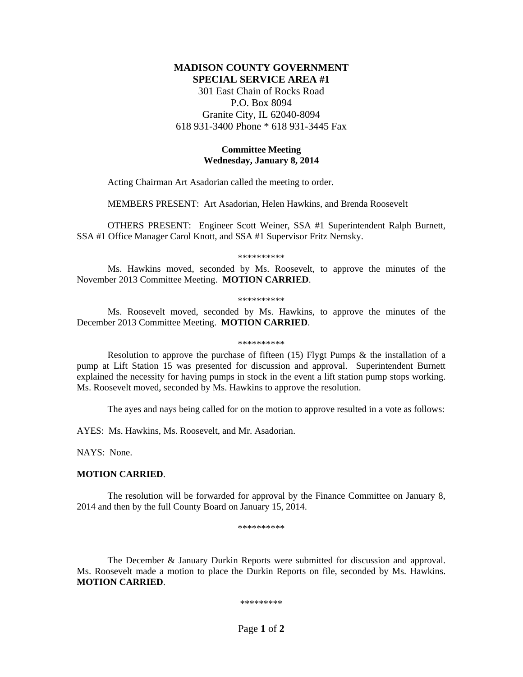# **MADISON COUNTY GOVERNMENT SPECIAL SERVICE AREA #1**

301 East Chain of Rocks Road P.O. Box 8094 Granite City, IL 62040-8094 618 931-3400 Phone \* 618 931-3445 Fax

## **Committee Meeting Wednesday, January 8, 2014**

Acting Chairman Art Asadorian called the meeting to order.

MEMBERS PRESENT: Art Asadorian, Helen Hawkins, and Brenda Roosevelt

OTHERS PRESENT: Engineer Scott Weiner, SSA #1 Superintendent Ralph Burnett, SSA #1 Office Manager Carol Knott, and SSA #1 Supervisor Fritz Nemsky.

\*\*\*\*\*\*\*\*\*\*

Ms. Hawkins moved, seconded by Ms. Roosevelt, to approve the minutes of the November 2013 Committee Meeting. **MOTION CARRIED**.

\*\*\*\*\*\*\*\*\*\*

Ms. Roosevelt moved, seconded by Ms. Hawkins, to approve the minutes of the December 2013 Committee Meeting. **MOTION CARRIED**.

#### \*\*\*\*\*\*\*\*\*\*

Resolution to approve the purchase of fifteen  $(15)$  Flygt Pumps & the installation of a pump at Lift Station 15 was presented for discussion and approval. Superintendent Burnett explained the necessity for having pumps in stock in the event a lift station pump stops working. Ms. Roosevelt moved, seconded by Ms. Hawkins to approve the resolution.

The ayes and nays being called for on the motion to approve resulted in a vote as follows:

AYES: Ms. Hawkins, Ms. Roosevelt, and Mr. Asadorian.

NAYS: None.

## **MOTION CARRIED**.

The resolution will be forwarded for approval by the Finance Committee on January 8, 2014 and then by the full County Board on January 15, 2014.

\*\*\*\*\*\*\*\*\*\*

The December & January Durkin Reports were submitted for discussion and approval. Ms. Roosevelt made a motion to place the Durkin Reports on file, seconded by Ms. Hawkins. **MOTION CARRIED**.

\*\*\*\*\*\*\*\*\*